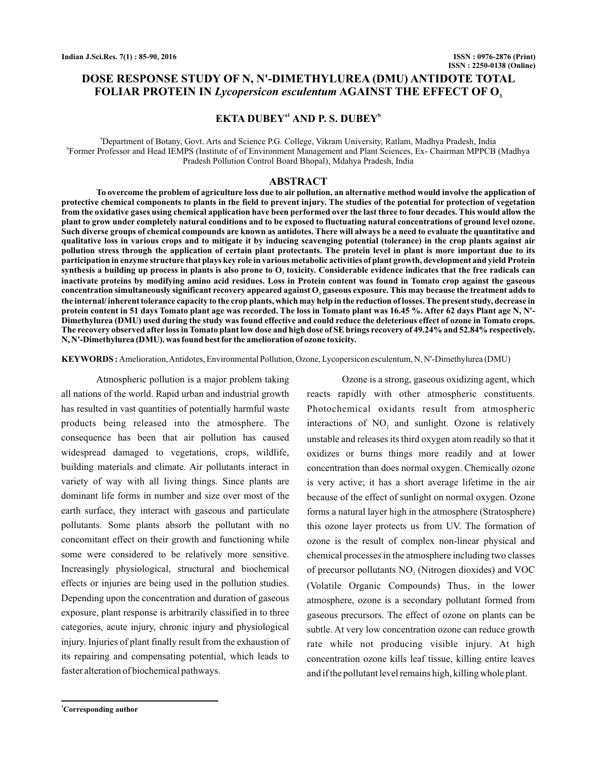# **DOSE RESPONSE STUDY OF N, N'-DIMETHYLUREA (DMU) ANTIDOTE TOTAL** FOLIAR PROTEIN IN *Lycopersicon esculentum* **AGAINST THE EFFECT OF O**<sub>3</sub>

# $EKTA DUBEY<sup>al</sup> AND P. S. DUBEY<sup>b</sup>$

a Department of Botany, Govt. Arts and Science P.G. College, Vikram University, Ratlam, Madhya Pradesh, India b Former Professor and Head IEMPS (Institute of of Environment Management and Plant Sciences, Ex- Chairman MPPCB (Madhya Pradesh Pollution Control Board Bhopal), Mdahya Pradesh, India

## **ABSTRACT**

**To overcome the problem of agriculture loss due to air pollution, an alternative method would involve the application of protective chemical components to plants in the field to prevent injury. The studies of the potential for protection of vegetation from the oxidative gases using chemical application have been performed over the last three to four decades. This would allow the plant to grow under completely natural conditions and to be exposed to fluctuating natural concentrations of ground level ozone. Such diverse groups of chemical compounds are known as antidotes. There will always be a need to evaluate the quantitative and qualitative loss in various crops and to mitigate it by inducing scavenging potential (tolerance) in the crop plants against air pollution stress through the application of certain plant protectants. The protein level in plant is more important due to its participation in enzyme structure that plays key role in various metabolic activities of plant growth, development and yield Protein** synthesis a building up process in plants is also prone to  $\mathbf{O}_3$  toxicity. Considerable evidence indicates that the free radicals can **inactivate proteins by modifying amino acid residues. Loss in Protein content was found in Tomato crop against the gaseous** concentration simultaneously significant recovery appeared against  $\mathbf{O}_3$  gaseous exposure. This may because the treatment adds to **the internal/ inherent tolerance capacity to the crop plants, which may help in the reduction of losses. The present study, decrease in protein content in 51 days Tomato plant age was recorded. The loss in Tomato plant was 16.45 %. After 62 days Plant age N, N'- Dimethylurea (DMU) used during the study was found effective and could reduce the deleterious effect of ozone in Tomato crops. The recovery observed after loss in Tomato plant low dose and high dose of SE brings recovery of 49.24% and 52.84% respectively. N, N'-Dimethylurea (DMU). was found best for the amelioration of ozone toxicity.**

**KEYWORDS :** Amelioration,Antidotes, Environmental Pollution, Ozone, Lycopersicon esculentum, N, N'-Dimethylurea (DMU)

Atmospheric pollution is a major problem taking all nations of the world. Rapid urban and industrial growth has resulted in vast quantities of potentially harmful waste products being released into the atmosphere. The consequence has been that air pollution has caused widespread damaged to vegetations, crops, wildlife, building materials and climate. Air pollutants interact in variety of way with all living things. Since plants are dominant life forms in number and size over most of the earth surface, they interact with gaseous and particulate pollutants. Some plants absorb the pollutant with no concomitant effect on their growth and functioning while some were considered to be relatively more sensitive. Increasingly physiological, structural and biochemical effects or injuries are being used in the pollution studies. Depending upon the concentration and duration of gaseous exposure, plant response is arbitrarily classified in to three categories, acute injury, chronic injury and physiological injury. Injuries of plant finally result from the exhaustion of its repairing and compensating potential, which leads to faster alteration of biochemical pathways.

Ozone is a strong, gaseous oxidizing agent, which reacts rapidly with other atmospheric constituents. Photochemical oxidants result from atmospheric interactions of  $NO<sub>2</sub>$  and sunlight. Ozone is relatively unstable and releases its third oxygen atom readily so that it oxidizes or burns things more readily and at lower concentration than does normal oxygen. Chemically ozone is very active; it has a short average lifetime in the air because of the effect of sunlight on normal oxygen. Ozone forms a natural layer high in the atmosphere (Stratosphere) this ozone layer protects us from UV. The formation of ozone is the result of complex non-linear physical and chemical processes in the atmosphere including two classes of precursor pollutants  $NO<sub>2</sub>$  (Nitrogen dioxides) and VOC (Volatile Organic Compounds) Thus, in the lower atmosphere, ozone is a secondary pollutant formed from gaseous precursors. The effect of ozone on plants can be subtle. At very low concentration ozone can reduce growth rate while not producing visible injury. At high concentration ozone kills leaf tissue, killing entire leaves and if the pollutant level remains high, killing whole plant.

**<sup>1</sup>Corresponding author**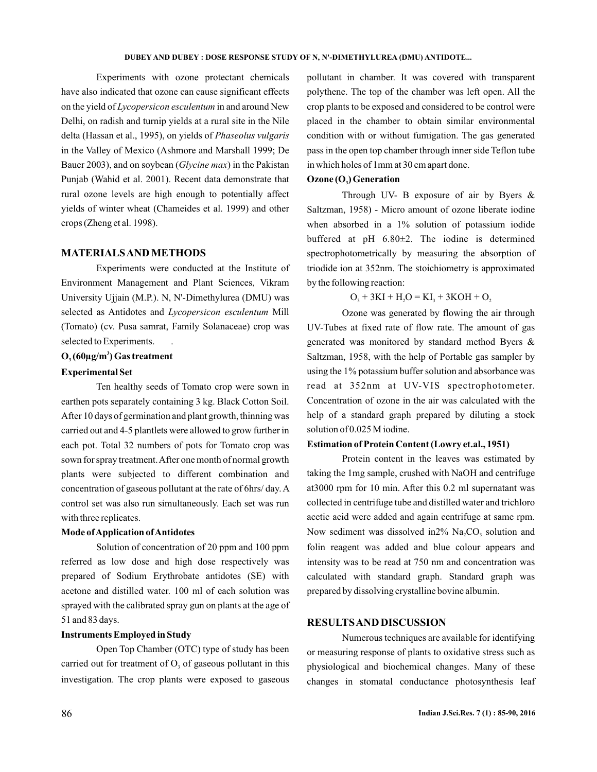Experiments with ozone protectant chemicals have also indicated that ozone can cause significant effects on the yield of *Lycopersicon esculentum* in and around New Delhi, on radish and turnip yields at a rural site in the Nile delta (Hassan et al., 1995), on yields of *Phaseolus vulgaris* in the Valley of Mexico (Ashmore and Marshall 1999; De Bauer 2003), and on soybean (*Glycine max*) in the Pakistan Punjab (Wahid et al. 2001). Recent data demonstrate that rural ozone levels are high enough to potentially affect yields of winter wheat (Chameides et al. 1999) and other crops (Zheng et al. 1998).

## **MATERIALSANDMETHODS**

Experiments were conducted at the Institute of Environment Management and Plant Sciences, Vikram University Ujjain (M.P.). N, N'-Dimethylurea (DMU) was selected as Antidotes and *Lycopersicon esculentum* Mill (Tomato) (cv. Pusa samrat, Family Solanaceae) crop was selected to Experiments. .

## $\mathbf{O}_3$  (60µg/m<sup>3</sup>) Gas treatment

#### **Experimental Set**

Ten healthy seeds of Tomato crop were sown in earthen pots separately containing 3 kg. Black Cotton Soil. After 10 days of germination and plant growth, thinning was carried out and 4-5 plantlets were allowed to grow further in each pot. Total 32 numbers of pots for Tomato crop was sown for spray treatment.After one month of normal growth plants were subjected to different combination and concentration of gaseous pollutant at the rate of 6hrs/ day. A control set was also run simultaneously. Each set was run with three replicates.

#### **Mode ofApplication ofAntidotes**

Solution of concentration of 20 ppm and 100 ppm referred as low dose and high dose respectively was prepared of Sodium Erythrobate antidotes (SE) with acetone and distilled water. 100 ml of each solution was sprayed with the calibrated spray gun on plants at the age of 51 and 83 days.

## **Instruments Employed in Study**

Open Top Chamber (OTC) type of study has been carried out for treatment of  $O<sub>3</sub>$  of gaseous pollutant in this investigation. The crop plants were exposed to gaseous

pollutant in chamber. It was covered with transparent polythene. The top of the chamber was left open. All the crop plants to be exposed and considered to be control were placed in the chamber to obtain similar environmental condition with or without fumigation. The gas generated pass in the open top chamber through inner side Teflon tube in which holes of 1mm at 30 cm apart done.

## Ozone (O<sub>3</sub>) Generation

Through UV- B exposure of air by Byers  $\&$ Saltzman, 1958) - Micro amount of ozone liberate iodine when absorbed in a 1% solution of potassium iodide buffered at pH 6.80±2. The iodine is determined spectrophotometrically by measuring the absorption of triodide ion at 352nm. The stoichiometry is approximated by the following reaction:

 $O_3 + 3KI + H_2O = KI_3 + 3KOH + O_2$ 

Ozone was generated by flowing the air through UV-Tubes at fixed rate of flow rate. The amount of gas generated was monitored by standard method Byers & Saltzman, 1958, with the help of Portable gas sampler by using the 1% potassium buffer solution and absorbance was read at 352nm at UV-VIS spectrophotometer. Concentration of ozone in the air was calculated with the help of a standard graph prepared by diluting a stock solution of 0.025 M iodine.

## **Estimation of Protein Content (Lowry et.al., 1951)**

Protein content in the leaves was estimated by taking the 1mg sample, crushed with NaOH and centrifuge at3000 rpm for 10 min. After this 0.2 ml supernatant was collected in centrifuge tube and distilled water and trichloro acetic acid were added and again centrifuge at same rpm. Now sediment was dissolved in  $2\%$  Na<sub>2</sub>CO<sub>3</sub> solution and folin reagent was added and blue colour appears and intensity was to be read at 750 nm and concentration was calculated with standard graph. Standard graph was prepared by dissolving crystalline bovine albumin.

## **RESULTSAND DISCUSSION**

Numerous techniques are available for identifying or measuring response of plants to oxidative stress such as physiological and biochemical changes. Many of these changes in stomatal conductance photosynthesis leaf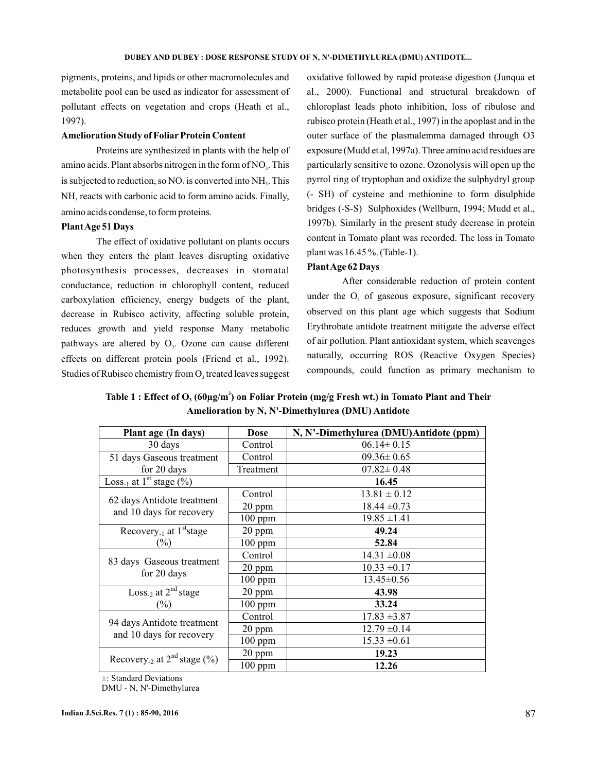pigments, proteins, and lipids or other macromolecules and metabolite pool can be used as indicator for assessment of pollutant effects on vegetation and crops (Heath et al., 1997).

### **Amelioration Study of Foliar Protein Content**

Proteins are synthesized in plants with the help of amino acids. Plant absorbs nitrogen in the form of  $NO<sub>3</sub>$ . This is subjected to reduction, so  $\rm NO_3$  is converted into  $\rm NH_3$ . This  $NH<sub>3</sub>$  reacts with carbonic acid to form amino acids. Finally, amino acids condense, to form proteins.

### **PlantAge 51 Days**

The effect of oxidative pollutant on plants occurs when they enters the plant leaves disrupting oxidative photosynthesis processes, decreases in stomatal conductance, reduction in chlorophyll content, reduced carboxylation efficiency, energy budgets of the plant, decrease in Rubisco activity, affecting soluble protein, reduces growth and yield response Many metabolic pathways are altered by  $O<sub>3</sub>$ . Ozone can cause different effects on different protein pools (Friend et al., 1992). Studies of Rubisco chemistry from  $O_3$  treated leaves suggest

oxidative followed by rapid protease digestion (Junqua et al., 2000). Functional and structural breakdown of chloroplast leads photo inhibition, loss of ribulose and rubisco protein (Heath et al., 1997) in the apoplast and in the outer surface of the plasmalemma damaged through O3 exposure (Mudd et al, 1997a). Three amino acid residues are particularly sensitive to ozone. Ozonolysis will open up the pyrrol ring of tryptophan and oxidize the sulphydryl group (- SH) of cysteine and methionine to form disulphide bridges (-S-S) Sulphoxides (Wellburn, 1994; Mudd et al., 1997b). Similarly in the present study decrease in protein content in Tomato plant was recorded. The loss in Tomato plant was 16.45 %. (Table-1).

## **PlantAge 62 Days**

After considerable reduction of protein content under the  $O<sub>3</sub>$  of gaseous exposure, significant recovery observed on this plant age which suggests that Sodium Erythrobate antidote treatment mitigate the adverse effect of air pollution. Plant antioxidant system, which scavenges naturally, occurring ROS (Reactive Oxygen Species) compounds, could function as primary mechanism to

Table  $1$  : Effect of  $\textbf{O}_\text{\tiny 3}$  (60µg/m $^3$ ) on Foliar Protein (mg/g Fresh wt.) in Tomato Plant and Their **Amelioration by N, N'-Dimethylurea (DMU) Antidote**

| Plant age (In days)                                       | <b>Dose</b> | N, N'-Dimethylurea (DMU)Antidote (ppm) |
|-----------------------------------------------------------|-------------|----------------------------------------|
| 30 days                                                   | Control     | $06.14 \pm 0.15$                       |
| 51 days Gaseous treatment                                 | Control     | $09.36 \pm 0.65$                       |
| for 20 days                                               | Treatment   | $07.82 \pm 0.48$                       |
| Loss <sub>-1</sub> at 1 <sup>st</sup> stage $(\%)$        |             | 16.45                                  |
| 62 days Antidote treatment<br>and 10 days for recovery    | Control     | $13.81 \pm 0.12$                       |
|                                                           | 20 ppm      | $18.44 \pm 0.73$                       |
|                                                           | $100$ ppm   | $19.85 \pm 1.41$                       |
| Recovery <sub>-1</sub> at $1^{\text{st}}$ stage<br>$(\%)$ | 20 ppm      | 49.24                                  |
|                                                           | $100$ ppm   | 52.84                                  |
| 83 days Gaseous treatment<br>for 20 days                  | Control     | $14.31 \pm 0.08$                       |
|                                                           | 20 ppm      | $10.33 \pm 0.17$                       |
|                                                           | $100$ ppm   | $13.45 \pm 0.56$                       |
| Loss <sub>-2</sub> at $2^{nd}$ stage<br>$(\%)$            | 20 ppm      | 43.98                                  |
|                                                           | $100$ ppm   | 33.24                                  |
| 94 days Antidote treatment<br>and 10 days for recovery    | Control     | $17.83 \pm 3.87$                       |
|                                                           | 20 ppm      | $12.79 \pm 0.14$                       |
|                                                           | $100$ ppm   | $15.33 \pm 0.61$                       |
| Recovery <sub>-2</sub> at $2^{nd}$ stage $(\%)$           | $20$ ppm    | 19.23                                  |
|                                                           | $100$ ppm   | 12.26                                  |

±: Standard Deviations

DMU - N, N'-Dimethylurea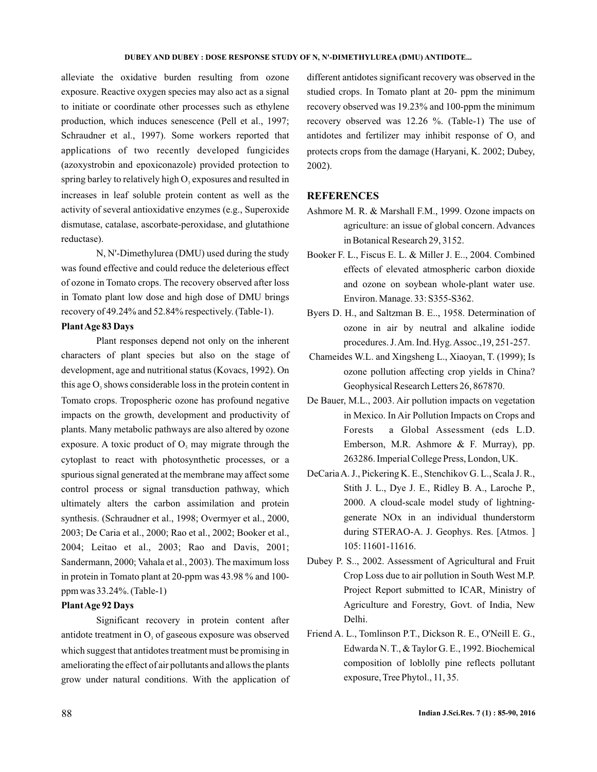#### **DUBEY AND DUBEY : DOSE RESPONSE STUDY OF N, N'-DIMETHYLUREA (DMU) ANTIDOTE...**

alleviate the oxidative burden resulting from ozone exposure. Reactive oxygen species may also act as a signal to initiate or coordinate other processes such as ethylene production, which induces senescence (Pell et al., 1997; Schraudner et al., 1997). Some workers reported that applications of two recently developed fungicides (azoxystrobin and epoxiconazole) provided protection to spring barley to relatively high  $O<sub>3</sub>$  exposures and resulted in increases in leaf soluble protein content as well as the activity of several antioxidative enzymes (e.g., Superoxide dismutase, catalase, ascorbate-peroxidase, and glutathione reductase).

N, N'-Dimethylurea (DMU) used during the study was found effective and could reduce the deleterious effect of ozone in Tomato crops. The recovery observed after loss in Tomato plant low dose and high dose of DMU brings recovery of 49.24% and 52.84% respectively. (Table-1).

### **PlantAge 83 Days**

Plant responses depend not only on the inherent characters of plant species but also on the stage of development, age and nutritional status (Kovacs, 1992). On this age  $O_3$  shows considerable loss in the protein content in Tomato crops. Tropospheric ozone has profound negative impacts on the growth, development and productivity of plants. Many metabolic pathways are also altered by ozone exposure. A toxic product of  $O_3$  may migrate through the cytoplast to react with photosynthetic processes, or a spurious signal generated at the membrane may affect some control process or signal transduction pathway, which ultimately alters the carbon assimilation and protein synthesis. (Schraudner et al., 1998; Overmyer et al., 2000, 2003; De Caria et al., 2000; Rao et al., 2002; Booker et al., 2004; Leitao et al., 2003; Rao and Davis, 2001; Sandermann, 2000; Vahala et al., 2003). The maximum loss in protein in Tomato plant at 20-ppm was 43.98 % and 100 ppm was 33.24%. (Table-1)

#### **PlantAge 92 Days**

Significant recovery in protein content after antidote treatment in  $O<sub>3</sub>$  of gaseous exposure was observed which suggest that antidotes treatment must be promising in ameliorating the effect of air pollutants and allows the plants grow under natural conditions. With the application of different antidotes significant recovery was observed in the studied crops. In Tomato plant at 20- ppm the minimum recovery observed was 19.23% and 100-ppm the minimum recovery observed was 12.26 %. (Table-1) The use of antidotes and fertilizer may inhibit response of  $O<sub>3</sub>$  and protects crops from the damage (Haryani, K. 2002; Dubey, 2002).

## **REFERENCES**

- Ashmore M. R. & Marshall F.M., 1999. Ozone impacts on agriculture: an issue of global concern. Advances in Botanical Research 29, 3152.
- Booker F. L., Fiscus E. L. & Miller J. E.., 2004. Combined effects of elevated atmospheric carbon dioxide and ozone on soybean whole-plant water use. Environ. Manage. 33: S355-S362.
- Byers D. H., and Saltzman B. E.., 1958. Determination of ozone in air by neutral and alkaline iodide procedures. J.Am. Ind. Hyg.Assoc.,19, 251-257.
- Chameides W.L. and Xingsheng L., Xiaoyan, T. (1999); Is ozone pollution affecting crop yields in China? Geophysical Research Letters 26, 867870.
- De Bauer, M.L., 2003. Air pollution impacts on vegetation in Mexico. In Air Pollution Impacts on Crops and Forests a Global Assessment (eds L.D. Emberson, M.R. Ashmore & F. Murray), pp. 263286. Imperial College Press, London, UK.
- DeCariaA. J., Pickering K. E., Stenchikov G. L., Scala J. R., Stith J. L., Dye J. E., Ridley B. A., Laroche P., 2000. A cloud-scale model study of lightninggenerate NOx in an individual thunderstorm during STERAO-A. J. Geophys. Res. [Atmos. ] 105: 11601-11616.
- Dubey P. S.., 2002. Assessment of Agricultural and Fruit Crop Loss due to air pollution in South West M.P. Project Report submitted to ICAR, Ministry of Agriculture and Forestry, Govt. of India, New Delhi.
- Friend A. L., Tomlinson P.T., Dickson R. E., O'Neill E. G., Edwarda N. T., & Taylor G. E., 1992. Biochemical composition of loblolly pine reflects pollutant exposure, Tree Phytol., 11, 35.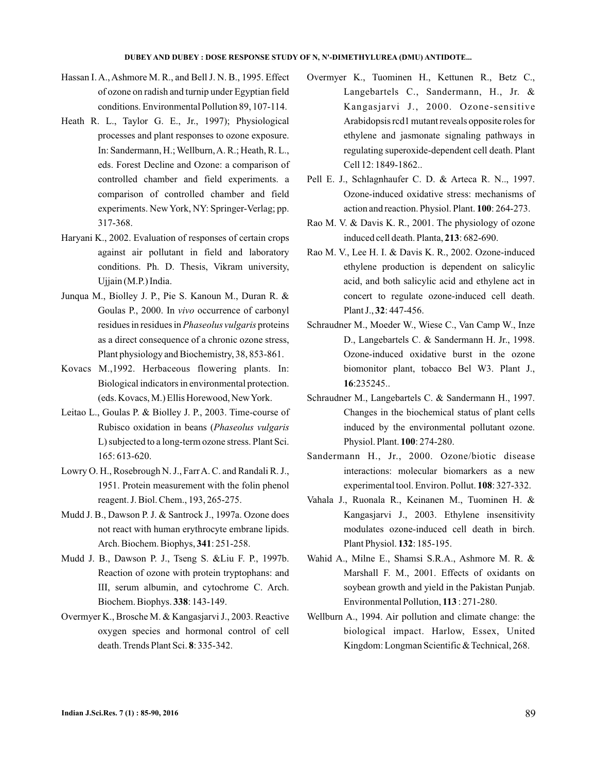- Hassan I. A., Ashmore M. R., and Bell J. N. B., 1995. Effect of ozone on radish and turnip under Egyptian field conditions. Environmental Pollution 89, 107-114.
- Heath R. L., Taylor G. E., Jr., 1997); Physiological processes and plant responses to ozone exposure. In: Sandermann, H.; Wellburn, A. R.; Heath, R. L., eds. Forest Decline and Ozone: a comparison of controlled chamber and field experiments. a comparison of controlled chamber and field experiments. New York, NY: Springer-Verlag; pp. 317-368.
- Haryani K., 2002. Evaluation of responses of certain crops against air pollutant in field and laboratory conditions. Ph. D. Thesis, Vikram university, Ujjain (M.P.) India.
- Junqua M., Biolley J. P., Pie S. Kanoun M., Duran R. & Goulas P., 2000. In vivo occurrence of carbonyl residues in residues in *Phaseolus vulgaris* proteins as a direct consequence of a chronic ozone stress, Plant physiology and Biochemistry, 38, 853-861.
- Kovacs M.,1992. Herbaceous flowering plants. In: Biological indicators in environmental protection. (eds. Kovacs, M.) Ellis Horewood, NewYork.
- Leitao L., Goulas P. & Biolley J. P., 2003. Time-course of Rubisco oxidation in beans ( *Phaseolus vulgaris* L) subjected to a long-term ozone stress. Plant Sci. 165: 613-620.
- Lowry O. H., Rosebrough N. J., FarrA. C. and Randali R. J., 1951. Protein measurement with the folin phenol reagent. J. Biol. Chem., 193, 265-275.
- Mudd J. B., Dawson P. J. & Santrock J., 1997a. Ozone does not react with human erythrocyte embrane lipids. Arch. Biochem. Biophys, 341: 251-258.
- Mudd J. B., Dawson P. J., Tseng S. &Liu F. P., 1997b. Reaction of ozone with protein tryptophans: and III, serum albumin, and cytochrome C. Arch. Biochem. Biophys. 338: 143-149.
- Overmyer K., Brosche M. & Kangasjarvi J., 2003. Reactive oxygen species and hormonal control of cell death. Trends Plant Sci. **8**: 335-342.
- Overmyer K., Tuominen H., Kettunen R., Betz C., Langebartels C., Sandermann, H., Jr. & Kangasjarvi J., 2000. Ozone-sensitive Arabidopsis rcd1 mutant reveals opposite roles for ethylene and jasmonate signaling pathways in regulating superoxide-dependent cell death. Plant Cell 12: 1849-1862..
- Pell E. J., Schlagnhaufer C. D. & Arteca R. N.., 1997. Ozone-induced oxidative stress: mechanisms of action and reaction. Physiol. Plant. 100: 264-273.
- Rao M. V. & Davis K. R., 2001. The physiology of ozone induced cell death. Planta, 213: 682-690.
- Rao M. V., Lee H. I. & Davis K. R., 2002. Ozone-induced ethylene production is dependent on salicylic acid, and both salicylic acid and ethylene act in concert to regulate ozone-induced cell death. Plant J., **32**: 447-456.
- Schraudner M., Moeder W., Wiese C., Van Camp W., Inze D., Langebartels C. & Sandermann H. Jr., 1998. Ozone-induced oxidative burst in the ozone biomonitor plant, tobacco Bel W3. Plant J., :235245.. **16**
- Schraudner M., Langebartels C. & Sandermann H., 1997. Changes in the biochemical status of plant cells induced by the environmental pollutant ozone. Physiol. Plant. 100: 274-280.
- Sandermann H., Jr., 2000. Ozone/biotic disease interactions: molecular biomarkers as a new experimental tool. Environ. Pollut. 108: 327-332.
- Vahala J., Ruonala R., Keinanen M., Tuominen H. & Kangasjarvi J., 2003. Ethylene insensitivity modulates ozone-induced cell death in birch. Plant Physiol. **132**: 185-195.
- Wahid A., Milne E., Shamsi S.R.A., Ashmore M. R. & Marshall F. M., 2001. Effects of oxidants on soybean growth and yield in the Pakistan Punjab. Environmental Pollution, 113: 271-280.
- Wellburn A., 1994. Air pollution and climate change: the biological impact. Harlow, Essex, United Kingdom: Longman Scientific & Technical, 268.